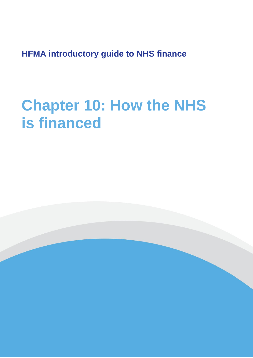**HFMA introductory guide to NHS finance**

# **Chapter 10: How the NHS is financed**

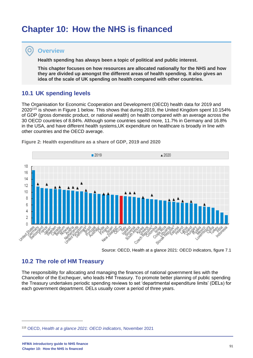## **Chapter 10: How the NHS is financed**

## **Overview**

 $\overline{\mathbf{O}}$ 

**Health spending has always been a topic of political and public interest.**

**This chapter focuses on how resources are allocated nationally for the NHS and how they are divided up amongst the different areas of health spending. It also gives an idea of the scale of UK spending on health compared with other countries.**

## **10.1 UK spending levels**

The Organisation for Economic Cooperation and Development (OECD) health data for 2019 and 2020<sup>115</sup> is shown in Figure 1 below. This shows that during 2019, the United Kingdom spent 10.154% of GDP (gross domestic product, or national wealth) on health compared with an average across the 30 OECD countries of 8.84%. Although some countries spend more, 11.7% in Germany and 16.8% in the USA, and have different health systems,UK expenditure on healthcare is broadly in line with other countries and the OECD average.



**Figure 2: Health expenditure as a share of GDP, 2019 and 2020**

Source: OECD, Health at a glance 2021: OECD indicators, figure 7.1

## **10.2 The role of HM Treasury**

The responsibility for allocating and managing the finances of national government lies with the Chancellor of the Exchequer, who leads HM Treasury. To promote better planning of public spending the Treasury undertakes periodic spending reviews to set 'departmental expenditure limits' (DELs) for each government department. DELs usually cover a period of three years.

<sup>115</sup> OECD, *[Health at a glance 2021: OECD indicators](https://www.oecd-ilibrary.org/social-issues-migration-health/health-at-a-glance-2021_ae3016b9-en)*, November 2021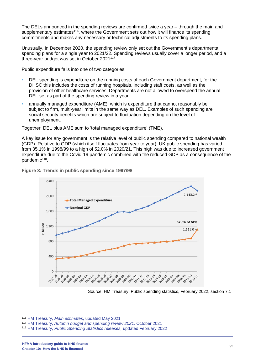The DELs announced in the spending reviews are confirmed twice a year – through the main and supplementary estimates<sup>116</sup>, where the Government sets out how it will finance its spending commitments and makes any necessary or technical adjustments to its spending plans.

Unusually, in December 2020, the spending review only set out the Government's departmental spending plans for a single year to 2021/22. Spending reviews usually cover a longer period, and a three-year budget was set in October 2021<sup>117</sup>.

Public expenditure falls into one of two categories:

- DEL spending is expenditure on the running costs of each Government department, for the DHSC this includes the costs of running hospitals, including staff costs, as well as the provision of other healthcare services. Departments are not allowed to overspend the annual DEL set as part of the spending review in a year.
- annually managed expenditure (AME), which is expenditure that cannot reasonably be subject to firm, multi-year limits in the same way as DEL. Examples of such spending are social security benefits which are subject to fluctuation depending on the level of unemployment.

Together, DEL plus AME sum to 'total managed expenditure' (TME).

A key issue for any government is the relative level of public spending compared to national wealth (GDP). Relative to GDP (which itself fluctuates from year to year), UK public spending has varied from 35.1% in 1998/99 to a high of 52.0% in 2020/21. This high was due to increased government expenditure due to the Covid-19 pandemic combined with the reduced GDP as a consequence of the pandemic<sup>118</sup>.



**Figure 3: Trends in public spending since 1997/98**

Source: HM Treasury, Public spending statistics, February 2022, section 7.1

<sup>116</sup> HM Treasury, *[Main estimates](https://www.gov.uk/government/collections/hmt-main-estimates)*, updated May 2021

<sup>117</sup> HM Treasury, *[Autumn budget and spending review 2021,](https://www.gov.uk/government/publications/autumn-budget-and-spending-review-2021-documents)* October 2021

<sup>118</sup> HM Treasury, *[Public Spending Statistics releases,](https://www.gov.uk/government/collections/national-statistics-release)* updated February 2022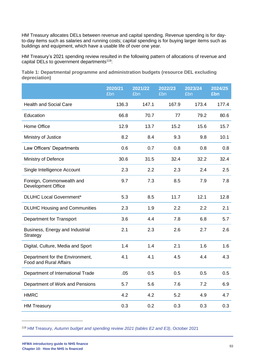HM Treasury allocates DELs between revenue and capital spending. Revenue spending is for dayto-day items such as salaries and running costs; capital spending is for buying larger items such as buildings and equipment, which have a usable life of over one year.

HM Treasury's 2021 spending review resulted in the following pattern of allocations of revenue and capital DELs to government departments<sup>119</sup>:

**Table 1: Departmental programme and administration budgets (resource DEL excluding depreciation)**

|                                                                  | 2020/21<br>£bn | 2021/22<br>£bn | 2022/23<br>£bn | 2023/24<br>£bn | 2024/25<br>£bn |
|------------------------------------------------------------------|----------------|----------------|----------------|----------------|----------------|
| <b>Health and Social Care</b>                                    | 136.3          | 147.1          | 167.9          | 173.4          | 177.4          |
| Education                                                        | 66.8           | 70.7           | 77             | 79.2           | 80.6           |
| Home Office                                                      | 12.9           | 13.7           | 15.2           | 15.6           | 15.7           |
| Ministry of Justice                                              | 8.2            | 8.4            | 9.3            | 9.8            | 10.1           |
| Law Officers' Departments                                        | 0.6            | 0.7            | 0.8            | 0.8            | 0.8            |
| Ministry of Defence                                              | 30.6           | 31.5           | 32.4           | 32.2           | 32.4           |
| Single Intelligence Account                                      | 2.3            | 2.2            | 2.3            | 2.4            | 2.5            |
| Foreign, Commonwealth and<br>Development Office                  | 9.7            | 7.3            | 8.5            | 7.9            | 7.8            |
| <b>DLUHC Local Government*</b>                                   | 5.3            | 8.5            | 11.7           | 12.1           | 12.8           |
| <b>DLUHC Housing and Communities</b>                             | 2.3            | 1.9            | 2.2            | 2.2            | 2.1            |
| <b>Department for Transport</b>                                  | 3.6            | 4.4            | 7.8            | 6.8            | 5.7            |
| Business, Energy and Industrial<br>Strategy                      | 2.1            | 2.3            | 2.6            | 2.7            | 2.6            |
| Digital, Culture, Media and Sport                                | 1.4            | 1.4            | 2.1            | 1.6            | 1.6            |
| Department for the Environment,<br><b>Food and Rural Affairs</b> | 4.1            | 4.1            | 4.5            | 4.4            | 4.3            |
| Department of International Trade                                | .05            | 0.5            | 0.5            | 0.5            | 0.5            |
| Department of Work and Pensions                                  | 5.7            | 5.6            | 7.6            | 7.2            | 6.9            |
| <b>HMRC</b>                                                      | 4.2            | 4.2            | 5.2            | 4.9            | 4.7            |
| <b>HM Treasury</b>                                               | 0.3            | 0.2            | 0.3            | 0.3            | 0.3            |

<sup>119</sup> HM Treasury, *[Autumn budget and spending review 2021 \(tables E2 and E3\)](https://assets.publishing.service.gov.uk/government/uploads/system/uploads/attachment_data/file/1043689/Budget_AB2021_Web_Accessible.pdf)*, October 2021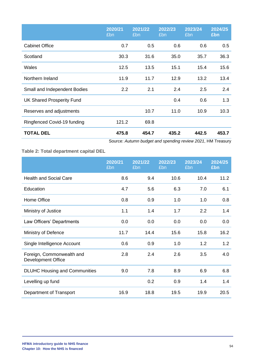|                                  | 2020/21<br>£bn | 2021/22<br>£bn | 2022/23<br>£bn | 2023/24<br>£bn | 2024/25<br>£bn |
|----------------------------------|----------------|----------------|----------------|----------------|----------------|
| <b>Cabinet Office</b>            | 0.7            | 0.5            | 0.6            | 0.6            | 0.5            |
| Scotland                         | 30.3           | 31.6           | 35.0           | 35.7           | 36.3           |
| Wales                            | 12.5           | 13.5           | 15.1           | 15.4           | 15.6           |
| Northern Ireland                 | 11.9           | 11.7           | 12.9           | 13.2           | 13.4           |
| Small and Independent Bodies     | 2.2            | 2.1            | 2.4            | 2.5            | 2.4            |
| <b>UK Shared Prosperity Fund</b> |                |                | 0.4            | 0.6            | 1.3            |
| Reserves and adjustments         |                | 10.7           | 11.0           | 10.9           | 10.3           |
| Ringfenced Covid-19 funding      | 121.2          | 69.8           |                |                |                |
| <b>TOTAL DEL</b>                 | 475.8          | 454.7          | 435.2          | 442.5          | 453.7          |

Source: *Autumn budget and spending review 2021*, HM Treasury

**Table 2: Total department capital DEL** 

|                                                        | 2020/21<br>£bn | 2021/22<br>£bn | 2022/23<br>£bn | 2023/24<br>£bn | 2024/25<br>£bn |
|--------------------------------------------------------|----------------|----------------|----------------|----------------|----------------|
| <b>Health and Social Care</b>                          | 8.6            | 9.4            | 10.6           | 10.4           | 11.2           |
| Education                                              | 4.7            | 5.6            | 6.3            | 7.0            | 6.1            |
| Home Office                                            | 0.8            | 0.9            | 1.0            | 1.0            | 0.8            |
| Ministry of Justice                                    | 1.1            | 1.4            | 1.7            | 2.2            | 1.4            |
| Law Officers' Departments                              | 0.0            | 0.0            | 0.0            | 0.0            | 0.0            |
| Ministry of Defence                                    | 11.7           | 14.4           | 15.6           | 15.8           | 16.2           |
| Single Intelligence Account                            | 0.6            | 0.9            | 1.0            | 1.2            | 1.2            |
| Foreign, Commonwealth and<br><b>Development Office</b> | 2.8            | 2.4            | 2.6            | 3.5            | 4.0            |
| <b>DLUHC Housing and Communities</b>                   | 9.0            | 7.8            | 8.9            | 6.9            | 6.8            |
| Levelling up fund                                      |                | 0.2            | 0.9            | 1.4            | 1.4            |
| Department of Transport                                | 16.9           | 18.8           | 19.5           | 19.9           | 20.5           |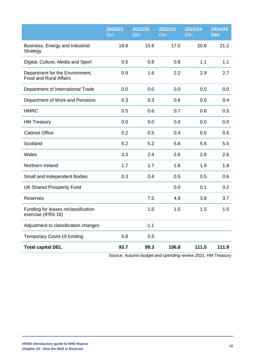|                                                                  | 2020/21<br>£bn | 2021/22<br>£bn | 2022/23<br>£bn | 2023/24<br>£bn | 2024/25<br>£bn |
|------------------------------------------------------------------|----------------|----------------|----------------|----------------|----------------|
| Business, Energy and Industrial<br>Strategy                      | 18.8           | 15.6           | 17.0           | 20.8           | 21.2           |
| Digital, Culture, Media and Sport                                | 0.5            | 0.8            | 0.8            | 1.1            | 1.1            |
| Department for the Environment,<br><b>Food and Rural Affairs</b> | 0.9            | 1.6            | 2.2            | 2.9            | 2.7            |
| Department of International Trade                                | 0.0            | 0.0            | 0.0            | 0.0            | 0.0            |
| Department of Work and Pensions                                  | 0.3            | 0.3            | 0.6            | 0.5            | 0.4            |
| <b>HMRC</b>                                                      | 0.5            | 0.6            | 0.7            | 0.6            | 0.5            |
| <b>HM Treasury</b>                                               | 0.0            | 0.0            | 0.0            | 0.0            | 0.0            |
| <b>Cabinet Office</b>                                            | 0.2            | 0.5            | 0.4            | 0.5            | 0.5            |
| Scotland                                                         | 5.2            | 5.2            | 5.6            | 5.6            | 5.5            |
| Wales                                                            | 3.3            | 2.4            | 2.6            | 2.6            | 2.6            |
| Northern Ireland                                                 | 1.7            | 1.7            | 1.8            | 1.9            | 1.8            |
| Small and Independent Bodies                                     | 0.3            | 0.4            | 0.5            | 0.5            | 0.6            |
| <b>UK Shared Prosperity Fund</b>                                 |                |                | 0.0            | 0.1            | 0.2            |
| <b>Reserves</b>                                                  |                | 7.5            | 4.9            | 3.8            | 3.7            |
| Funding for leases reclassification<br>exercise (IFRS 16)        |                | 1.5            | 1.5            | 1.5            | 1.5            |
| Adjustment to classification changes                             |                | $-1.1$         |                |                |                |
| Temporary Covid-19 funding                                       | 5.8            | 0.5            |                |                |                |
| <b>Total capital DEL</b>                                         | 93.7           | 99.3           | 106.8          | 111.5          | 111.9          |

Source: *Autumn budget and spending review 2021*, HM Treasury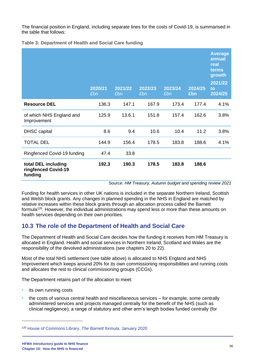The financial position in England, including separate lines for the costs of Covid-19, is summarised in the table that follows:

**Table 3: Department of Health and Social Care funding**

|                                                       | 2020/21<br>£bn | 2021/22<br>£bn | 2022/23<br>£bn | 2023/24<br>£bn | 2024/25<br>£bn | <b>Average</b><br>annual<br>real<br>terms<br>growth<br>2021/22<br>to<br>2024/25 |
|-------------------------------------------------------|----------------|----------------|----------------|----------------|----------------|---------------------------------------------------------------------------------|
| <b>Resource DEL</b>                                   | 136.3          | 147.1          | 167.9          | 173.4          | 177.4          | 4.1%                                                                            |
| of which NHS England and<br>Improvement               | 125.9          | 13.6.1         | 151.8          | 157.4          | 162.6          | 3.8%                                                                            |
| <b>DHSC</b> capital                                   | 8.6            | 9.4            | 10.6           | 10.4           | 11.2           | 3.8%                                                                            |
| <b>TOTAL DEL</b>                                      | 144.9          | 156.4          | 178.5          | 183.8          | 188.6          | 4.1%                                                                            |
| Ringfenced Covid-19 funding                           | 47.4           | 33.8           |                |                |                |                                                                                 |
| total DEL including<br>ringfenced Covid-19<br>funding | 192.3          | 190.3          | 178.5          | 183.8          | 188.6          |                                                                                 |

Source: *HM Treasury, Autumn budget and spending review 2021*

Funding for health services in other UK nations is included in the separate Northern Ireland, Scottish and Welsh block grants. Any changes in planned spending in the NHS in England are matched by relative increases within these block grants through an allocation process called the Barnett formula<sup>120</sup>. However, the individual administrations may spend less or more than these amounts on health services depending on their own priorities.

## **10.3 The role of the Department of Health and Social Care**

The Department of Health and Social Care decides how the funding it receives from HM Treasury is allocated in England. Health and social services in Northern Ireland, Scotland and Wales are the responsibility of the devolved administrations (see chapters 20 to 22).

Most of the total NHS settlement (see table above) is allocated to NHS England and NHS Improvement which keeps around 20% for its own commissioning responsibilities and running costs and allocates the rest to clinical commissioning groups (CCGs).

The Department retains part of the allocation to meet:

- its own running costs
- the costs of various central health and miscellaneous services for example, some centrally administered services and projects managed centrally for the benefit of the NHS (such as clinical negligence); a range of statutory and other arm's length bodies funded centrally (for

<sup>120</sup> [House of Commons Library,](https://commonslibrary.parliament.uk/research-briefings/cbp-7386/) *The Barnett formula*, January 2020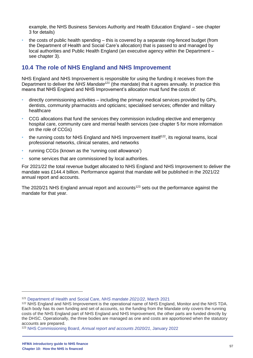example, the NHS Business Services Authority and Health Education England – see chapter 3 for details)

• the costs of public health spending – this is covered by a separate ring-fenced budget (from the Department of Health and Social Care's allocation) that is passed to and managed by local authorities and Public Health England (an executive agency within the Department – see chapter 3).

## **10.4 The role of NHS England and NHS Improvement**

NHS England and NHS Improvement is responsible for using the funding it receives from the Department to deliver the *NHS Mandate<sup>121</sup>* (the mandate) that it agrees annually. In practice this means that NHS England and NHS Improvement's allocation must fund the costs of:

- directly commissioning activities including the primary medical services provided by GPs, dentists, community pharmacists and opticians; specialised services; offender and military healthcare
- CCG allocations that fund the services they commission including elective and emergency hospital care, community care and mental health services (see chapter 5 for more information on the role of CCGs)
- the running costs for NHS England and NHS Improvement itself<sup>122</sup>, its regional teams, local professional networks, clinical senates, and networks
- running CCGs (known as the 'running cost allowance')
- some services that are commissioned by local authorities.

For 2021/22 the total revenue budget allocated to NHS England and NHS Improvement to deliver the mandate was £144.4 billion. Performance against that mandate will be published in the 2021/22 annual report and accounts.

The 2020/21 NHS England annual report and accounts<sup>123</sup> sets out the performance against the mandate for that year.

<sup>121</sup> [Department of Health and Social Care,](https://www.gov.uk/government/publications/nhs-mandate-2021-to-2022) *NHS mandate 2021/22*, March 2021

<sup>&</sup>lt;sup>122</sup> NHS England and NHS Improvement is the operational name of NHS England, Monitor and the NHS TDA. Each body has its own funding and set of accounts, so the funding from the Mandate only covers the running costs of the NHS England part of NHS England and NHS Improvement, the other parts are funded directly by the DHSC. Operationally, the three bodies are managed as one and costs are apportioned when the statutory accounts are prepared.

<sup>123</sup> NHS Commissioning Board, *[Annual report and accounts 2020/21](https://www.england.nhs.uk/publications/annual-report/)*, January 2022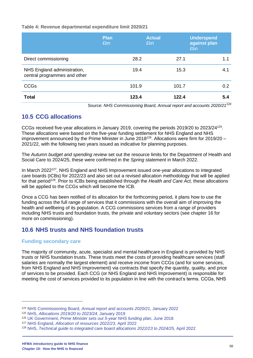#### **Table 4: Revenue departmental expenditure limit 2020/21**

|                                                             | <b>Plan</b><br>£bn | <b>Actual</b><br>£bn | <b>Underspend</b><br>against plan<br>£bn |
|-------------------------------------------------------------|--------------------|----------------------|------------------------------------------|
| Direct commissioning                                        | 28.2               | 27.1                 | 1.1                                      |
| NHS England administration,<br>central programmes and other | 19.4               | 15.3                 | 4.1                                      |
| <b>CCGs</b>                                                 | 101.9              | 101.7                | 0.2 <sub>0</sub>                         |
| <b>Total</b>                                                | 123.4              | 122.4                | 5.4<br>$\overline{101}$                  |

Source: *NHS Commissioning Board, Annual report and accounts 2020/21<sup>124</sup>*

## **10.5 CCG allocations**

CCGs received five-year allocations in January 2019, covering the periods 2019/20 to 2023/24<sup>125</sup> . These allocations were based on the five-year funding settlement for NHS England and NHS improvement announced by the Prime Minister in June 2018<sup>126</sup>. Allocations were firm for 2019/20 – 2021/22, with the following two years issued as indicative for planning purposes.

The *Autumn budget and spending review* set out the resource limits for the Department of Health and Social Care to 2024/25, these were confirmed in the *Spring statement* in March 2022.

In March 2022<sup>127</sup>, NHS England and NHS Improvement issued one-year allocations to integrated care boards (ICBs) for 2022/23 and also set out a revised allocation methodology that will be applied for that period<sup>128</sup>. Prior to ICBs being established through the *Health and Care Act,* these allocations will be applied to the CCGs which will become the ICB.

Once a CCG has been notified of its allocation for the forthcoming period, it plans how to use the funding across the full range of services that it commissions with the overall aim of improving the health and wellbeing of its population. A CCG commissions services from a range of providers including NHS trusts and foundation trusts, the private and voluntary sectors (see chapter 16 for more on commissioning).

## **10.6 NHS trusts and NHS foundation trusts**

#### **Funding secondary care**

The majority of community, acute, specialist and mental healthcare in England is provided by NHS trusts or NHS foundation trusts. These trusts meet the costs of providing healthcare services (staff salaries are normally the largest element) and receive income from CCGs (and for some services, from NHS England and NHS Improvement) via contracts that specify the quantity, quality, and price of services to be provided. Each CCG (or NHS England and NHS Improvement) is responsible for meeting the cost of services provided to its population in line with the contract's terms. CCGs, NHS

<sup>124</sup> NHS Commissioning Board, *[Annual report and accounts 2020/21](https://www.england.nhs.uk/publications/annual-report/)*, January 2022

<sup>125</sup> NHS, *[Allocations 2019/20 to 2023/24](https://www.england.nhs.uk/allocations/)*, January 2019

<sup>126</sup> UK Government, *[Prime Minister sets out 5-year NHS funding plan](https://www.gov.uk/government/news/prime-minister-sets-out-5-year-nhs-funding-plan)*, June 2018

<sup>127</sup> NHS England, *[Allocation of resources 2022/23](https://www.england.nhs.uk/publication/allocation-of-resources-2022-23/)*, April 2022

<sup>128</sup> NHS, *[Technical guide to integrated care board allocations 2022/23 to 2024/25](https://www.england.nhs.uk/publication/technical-guide-to-integrated-care-board-allocations-2022-23-to-2024-25/)*, April 2022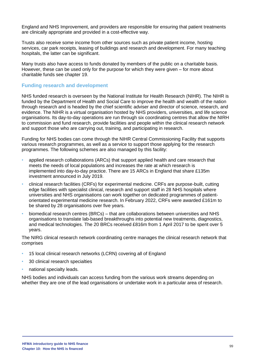England and NHS Improvement, and providers are responsible for ensuring that patient treatments are clinically appropriate and provided in a cost-effective way.

Trusts also receive some income from other sources such as private patient income, hosting services, car park receipts, leasing of buildings and research and development. For many teaching hospitals, the latter can be significant.

Many trusts also have access to funds donated by members of the public on a charitable basis. However, these can be used only for the purpose for which they were given – for more about charitable funds see chapter 19.

#### **Funding research and development**

NHS funded research is overseen by the National Institute for Health Research (NIHR). The NIHR is funded by the Department of Health and Social Care to improve the health and wealth of the nation through research and is headed by the chief scientific adviser and director of science, research, and evidence. The NIHR is a virtual organisation hosted by NHS providers, universities, and life science organisations. Its day-to-day operations are run through six coordinating centres that allow the NIRH to commission and fund research, provide facilities and people within the clinical research network and support those who are carrying out, training, and participating in research.

Funding for NHS bodies can come through the NIHR Central Commissioning Facility that supports various research programmes, as well as a service to support those applying for the research programmes. The following schemes are also managed by this facility:

- applied research collaborations (ARCs) that support applied health and care research that meets the needs of local populations and increases the rate at which research is implemented into day-to-day practice. There are 15 ARCs in England that share £135m investment announced in July 2019.
- clinical research facilities (CRFs) for experimental medicine. CRFs are purpose-built, cutting edge facilities with specialist clinical, research and support staff in 28 NHS hospitals where universities and NHS organisations can work together on dedicated programmes of patientorientated experimental medicine research. In February 2022, CRFs were awarded £161m to be shared by 28 organisations over five years.
- biomedical research centres (BRCs) that are collaborations between universities and NHS organisations to translate lab-based breakthroughs into potential new treatments, diagnostics, and medical technologies. The 20 BRCs received £816m from 1 April 2017 to be spent over 5 years.

The NIRG clinical research network coordinating centre manages the clinical research network that comprises

- 15 local clinical research networks (LCRN) covering all of England
- 30 clinical research specialties
- national specialty leads.

NHS bodies and individuals can access funding from the various work streams depending on whether they are one of the lead organisations or undertake work in a particular area of research.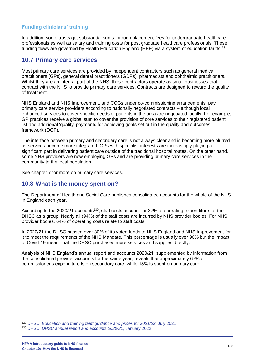## **Funding clinicians' training**

In addition, some trusts get substantial sums through placement fees for undergraduate healthcare professionals as well as salary and training costs for post graduate healthcare professionals. These funding flows are governed by Health Education England (HEE) via a system of education tariffs<sup>129</sup>.

## **10.7 Primary care services**

Most primary care services are provided by independent contractors such as general medical practitioners (GPs), general dental practitioners (GDPs), pharmacists and ophthalmic practitioners. Whilst they are an integral part of the NHS, these contractors operate as small businesses that contract with the NHS to provide primary care services. Contracts are designed to reward the quality of treatment.

NHS England and NHS Improvement, and CCGs under co-commissioning arrangements, pay primary care service providers according to nationally negotiated contracts – although local enhanced services to cover specific needs of patients in the area are negotiated locally. For example, GP practices receive a global sum to cover the provision of core services to their registered patient list and additional 'quality' payments for achieving goals set out in the quality and outcomes framework (QOF).

The interface between primary and secondary care is not always clear and is becoming more blurred as services become more integrated. GPs with specialist interests are increasingly playing a significant part in delivering patient care outside of the traditional hospital routes. On the other hand. some NHS providers are now employing GPs and are providing primary care services in the community to the local population.

See chapter 7 for more on primary care services.

## **10.8 What is the money spent on?**

The Department of Health and Social Care publishes consolidated accounts for the whole of the NHS in England each year.

According to the 2020/21 accounts<sup>130</sup>, staff costs account for 37% of operating expenditure for the DHSC as a group. Nearly all (94%) of the staff costs are incurred by NHS provider bodies. For NHS provider bodies, 64% of operating costs relate to staff costs.

In 2020/21 the DHSC passed over 80% of its voted funds to NHS England and NHS Improvement for it to meet the requirements of the NHS Mandate. This percentage is usually over 90% but the impact of Covid-19 meant that the DHSC purchased more services and supplies directly.

Analysis of NHS England's annual report and accounts 2020/21, supplemented by information from the consolidated provider accounts for the same year, reveals that approximately 67% of commissioner's expenditure is on secondary care, while 18% is spent on primary care.

<sup>129</sup> DHSC, *[Education and training tariff guidance and](https://www.gov.uk/government/publications/healthcare-education-and-training-tariffs-2021-to-2022/education-and-training-tariff-guidance-and-prices-for-2021-to-2022-financial-year) prices for 2021/22*, July 2021 <sup>130</sup> DHSC, *[DHSC annual report and accounts 2020/21](https://www.gov.uk/government/publications/dhsc-annual-report-and-accounts-2020-to-2021)*, January 2022